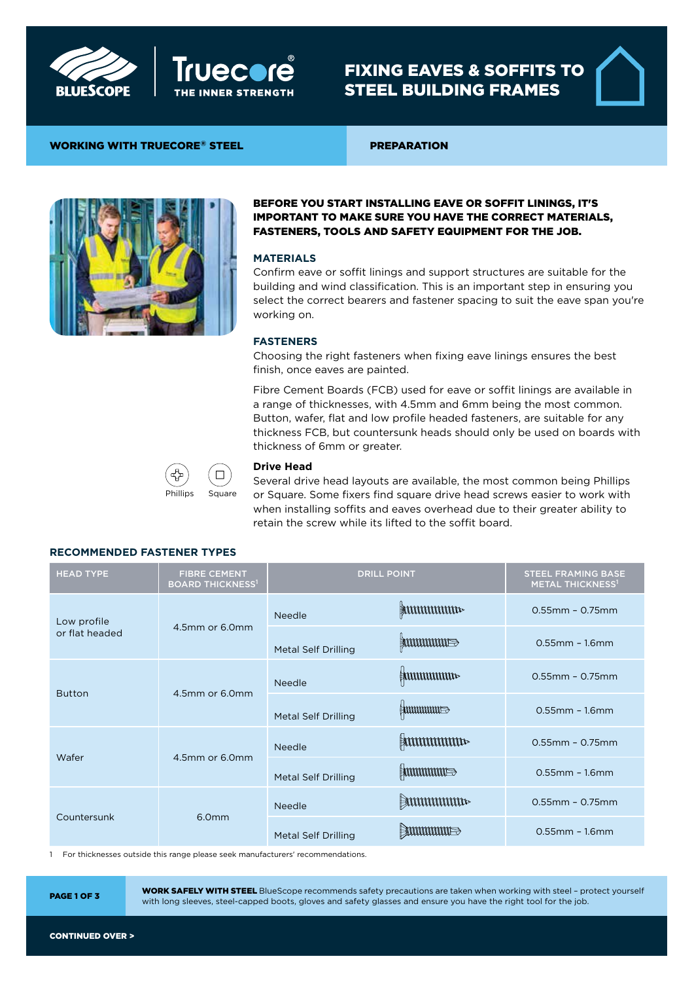



# FIXING EAVES & SOFFITS TO STEEL BUILDING FRAMES

## WORKING WITH TRUECORE® STEEL PREPARATION



## BEFORE YOU START INSTALLING EAVE OR SOFFIT LININGS, IT'S IMPORTANT TO MAKE SURE YOU HAVE THE CORRECT MATERIALS, FASTENERS, TOOLS AND SAFETY EQUIPMENT FOR THE JOB.

#### **MATERIALS**

Confirm eave or soffit linings and support structures are suitable for the building and wind classification. This is an important step in ensuring you select the correct bearers and fastener spacing to suit the eave span you're working on.

## **FASTENERS**

Choosing the right fasteners when fixing eave linings ensures the best finish, once eaves are painted.

Fibre Cement Boards (FCB) used for eave or soffit linings are available in a range of thicknesses, with 4.5mm and 6mm being the most common. Button, wafer, flat and low profile headed fasteners, are suitable for any thickness FCB, but countersunk heads should only be used on boards with thickness of 6mm or greater.



#### **Drive Head**

Several drive head layouts are available, the most common being Phillips or Square. Some fixers find square drive head screws easier to work with when installing soffits and eaves overhead due to their greater ability to retain the screw while its lifted to the soffit board.

#### **RECOMMENDED FASTENER TYPES**

| <b>HEAD TYPE</b>              | <b>FIBRE CEMENT</b><br><b>BOARD THICKNESS<sup>1</sup></b> | <b>DRILL POINT</b>         |                     | <b>STEEL FRAMING BASE</b><br><b>METAL THICKNESS<sup>1</sup></b> |
|-------------------------------|-----------------------------------------------------------|----------------------------|---------------------|-----------------------------------------------------------------|
| Low profile<br>or flat headed | 4.5mm or 6.0mm                                            | <b>Needle</b>              | $\frac{1}{2}$       | $0.55$ mm - 0.75mm                                              |
|                               |                                                           | <b>Metal Self Drilling</b> | <b>ANNUMINITIE</b>  | $0.55$ mm - $1.6$ mm                                            |
| <b>Button</b>                 | 4.5mm or 6.0mm                                            | <b>Needle</b>              | <b>ENNIMINATION</b> | $0.55$ mm - 0.75mm                                              |
|                               |                                                           | <b>Metal Self Drilling</b> | emmmmm              | $0.55$ mm - $1.6$ mm                                            |
| Wafer                         | 4.5mm or 6.0mm                                            | <b>Needle</b>              |                     | $0.55$ mm - 0.75mm                                              |
|                               |                                                           | <b>Metal Self Drilling</b> | <b>ENNINININE</b>   | $0.55$ mm - $1.6$ mm                                            |
| Countersunk                   | 6.0mm                                                     | <b>Needle</b>              | $\mathbb{R}$        | $0.55$ mm - 0.75mm                                              |
|                               |                                                           | <b>Metal Self Drilling</b> |                     | $0.55$ mm - $1.6$ mm                                            |

1 For thicknesses outside this range please seek manufacturers' recommendations.

WORK SAFELY WITH STEEL BlueScope recommends safety precautions are taken when working with steel – protect yourself www.barely with long sleeves, steel-capped boots, gloves and safety glasses and ensure you have the right tool for the job.<br>With long sleeves, steel-capped boots, gloves and safety glasses and ensure you have the right too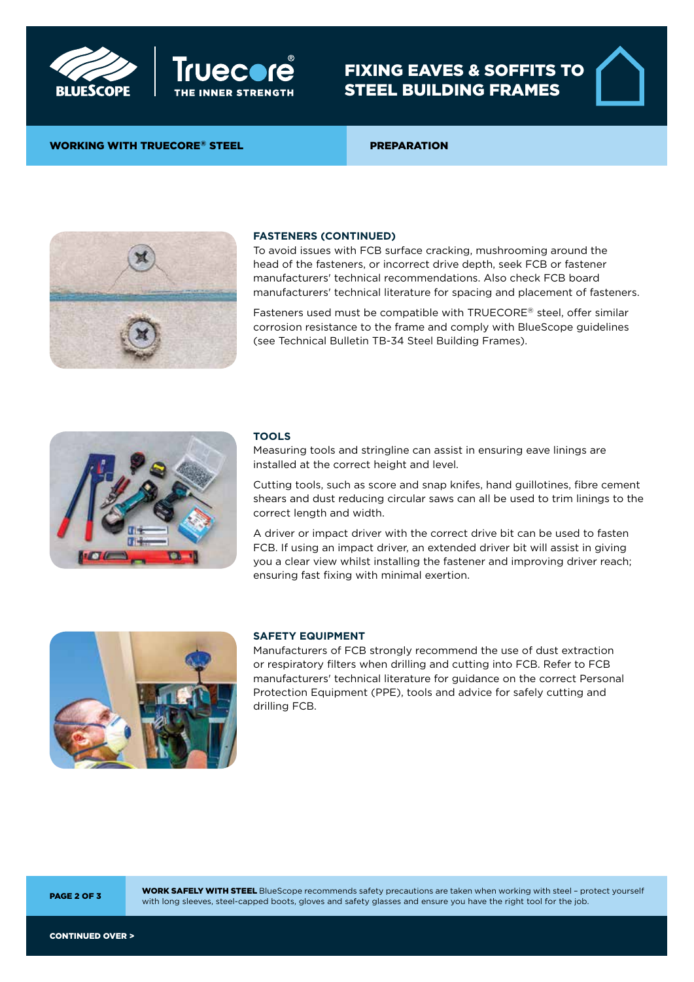



# FIXING EAVES & SOFFITS TO STEEL BUILDING FRAMES

## WORKING WITH TRUECORE® STEEL PREPARATION



## **FASTENERS (CONTINUED)**

To avoid issues with FCB surface cracking, mushrooming around the head of the fasteners, or incorrect drive depth, seek FCB or fastener manufacturers' technical recommendations. Also check FCB board manufacturers' technical literature for spacing and placement of fasteners.

Fasteners used must be compatible with TRUECORE® steel, offer similar corrosion resistance to the frame and comply with BlueScope guidelines (see Technical Bulletin TB-34 Steel Building Frames).



#### **TOOLS**

Measuring tools and stringline can assist in ensuring eave linings are installed at the correct height and level.

Cutting tools, such as score and snap knifes, hand guillotines, fibre cement shears and dust reducing circular saws can all be used to trim linings to the correct length and width.

A driver or impact driver with the correct drive bit can be used to fasten FCB. If using an impact driver, an extended driver bit will assist in giving you a clear view whilst installing the fastener and improving driver reach; ensuring fast fixing with minimal exertion.



## **SAFETY EQUIPMENT**

Manufacturers of FCB strongly recommend the use of dust extraction or respiratory filters when drilling and cutting into FCB. Refer to FCB manufacturers' technical literature for guidance on the correct Personal Protection Equipment (PPE), tools and advice for safely cutting and drilling FCB.